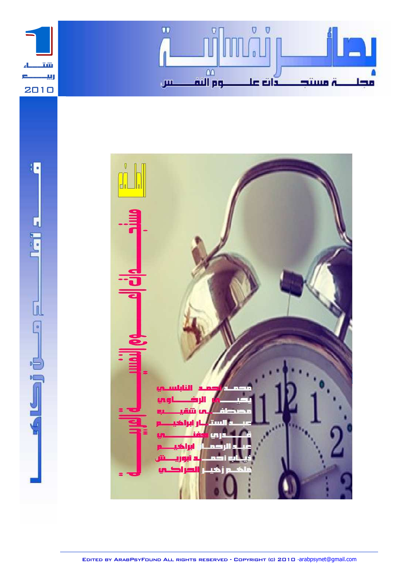

 $\sqrt{2}$ 

 $\begin{bmatrix} 0 \\ 0 \\ 0 \end{bmatrix}$ 

U

ö

PL<sub>1</sub>



Edited by ArabPsyFound All rights reserved - Copyright (c) 2010 -arabpsynet@gmail.com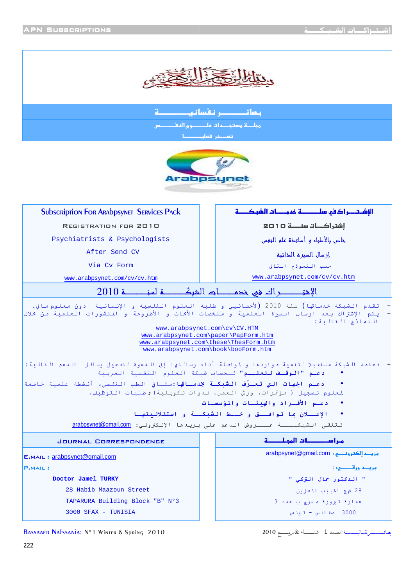

بمائـــــــــر نفسانيــــــــــــة .<br>مجالسة مستجدات علـــــــــوم النقــــــــــس أتعصم أقعلين أسطات



| <b>SUbscription For Arabpsynet SERVICES PACK</b>                                                                                                     |                                                                                                                                                                                                                           |  |  |
|------------------------------------------------------------------------------------------------------------------------------------------------------|---------------------------------------------------------------------------------------------------------------------------------------------------------------------------------------------------------------------------|--|--|
| REGISTRATION FOR 2010                                                                                                                                | إشتراكــات سنــــة □ 1 □ 2                                                                                                                                                                                                |  |  |
| Psychiatrists & Psychologists                                                                                                                        | خاص بالأطباء وأساتحق علو النغس                                                                                                                                                                                            |  |  |
| After Send CV                                                                                                                                        | إرسال السيرة الخاتية                                                                                                                                                                                                      |  |  |
| Via Cy Form                                                                                                                                          | حسب النموذج التالي                                                                                                                                                                                                        |  |  |
| www.arabpsynet.com/cv/cv.htm                                                                                                                         | www.arabpsynet.com/cv/cv.htm                                                                                                                                                                                              |  |  |
|                                                                                                                                                      |                                                                                                                                                                                                                           |  |  |
|                                                                                                                                                      | تقـدم الـشبكة خدمـاتها) سنة 2010 (لأحصائـيي و طلبة الـعلوم الـنفسية و الإنـسانـية  دون مـعلوم صـالي.<br>يتم الإشتراك بعد ارسال السيرة العلمية و ملخصات الأبحاث و الأطروحة و المنشورات العلمية من خلال<br>النماذج التالية: |  |  |
| www.arabpsynet.com\cv\CV.HTM<br>www.arabpsynet.com\paper\PapForm.htm<br>www.arabpsynet.com\these\ThesForm.htm<br>www.arabpsynet.com\book\booForm.htm |                                                                                                                                                                                                                           |  |  |
|                                                                                                                                                      | تعتمد الشبكة مستقبلا لتنمية مواردها و لمواصلة أداء رسالتها إلى الدعوة لتفعيل وسائل  الدعم التالية:<br><b>دعـم "الوقـف للعلــم"</b> لـحساب شبكة العلوم النفسية العربية                                                     |  |  |
| <b>دعـم الجهات التي تعـرّف الشبكـة بخدمـاتها:</b> مشـافي الطب النفسي، أنشطة علمية خاضعة                                                              | لمعلوم تسجيل ( مؤتمرات، ورش العمل، ندوات تكوينية) وطلبات التوظيف،                                                                                                                                                         |  |  |
|                                                                                                                                                      | دعـم الأفـراد والهنئـات والمؤسسـات                                                                                                                                                                                        |  |  |
|                                                                                                                                                      | الإعسلان بما توافستق وخسلط الشبكسة واستقلاليتها                                                                                                                                                                           |  |  |
| تتلقى الشبكــــة عــــروض الدعم على بريدها الإلكتروني: arabpsynet@gmail.com                                                                          |                                                                                                                                                                                                                           |  |  |
| <b>JOURNAL CORRESPONDENCE</b>                                                                                                                        | مراســـــــــــات المجـلــــــــة                                                                                                                                                                                         |  |  |
| E.MAIL: arabpsynet@gmail.com                                                                                                                         |                                                                                                                                                                                                                           |  |  |
| بريــد ورقـــــــو. :<br><b>P.MAIL:</b>                                                                                                              |                                                                                                                                                                                                                           |  |  |
| Doctor Jamel TURKY                                                                                                                                   | " الدكتور جمال التركي "                                                                                                                                                                                                   |  |  |
| 28 Habib Maazoun Street                                                                                                                              | 28 نهج الحبيب المعزون                                                                                                                                                                                                     |  |  |
| TAPARURA Building Block "B" Nº3                                                                                                                      | عمارة تبرورة مدرج ب عدد 3                                                                                                                                                                                                 |  |  |
| 3000 SFAX - TUNISIA                                                                                                                                  | 3000 صفاقس - تونس                                                                                                                                                                                                         |  |  |

بصائـــــــــــــــــــــة:العــدد 1 شتــــــــــاء & مريــــــــع 2010

BASSAAER NAFSSANIA: N°1 WINTER & Spring 2010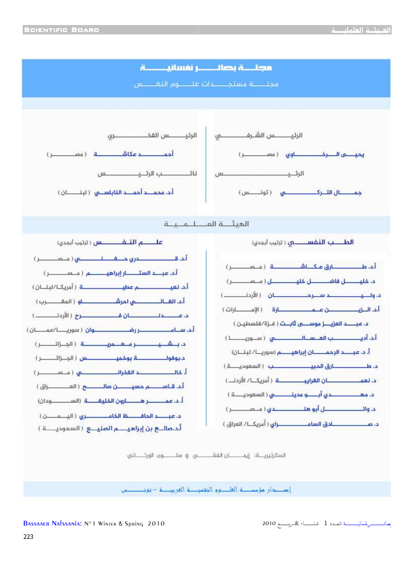

إصطر مؤسسة العلموم النغسية العربيسة – تونسسس

يصائىسىسىرىقىسانيىسىسىة: العبدد 1 شتيسساء & مريسسىم 2010

BASSAAER NAFSSANIA: N°1 WINTER & Spring 2010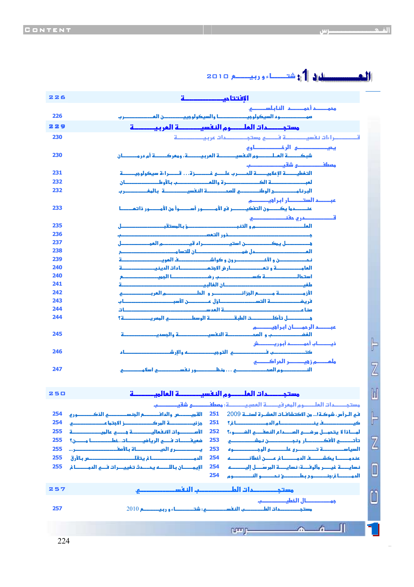| 226 | الافتتا مكسكسكة                                                                             |
|-----|---------------------------------------------------------------------------------------------|
|     | محمـــــــم أحمــــــــم النا بـلســــــــــــو                                             |
| 226 | موحد السيكولوجي السيكولوجي والسيكولوجي المستحل المستنس                                      |
| 229 |                                                                                             |
| 230 | قصصصراءات نفسيصصمة فصو مستجددتك عربيصصمة                                                    |
|     | محب المستحقين الرخص المستحققه                                                               |
| 230 |                                                                                             |
|     | معطف كمستحص شقب كمستحصب                                                                     |
| 231 |                                                                                             |
| 232 | لعب والمستحسسة الكووو المستحسس قرالله واللعام والمستحصر بالأوط والمستحسسان                  |
| 232 | البرنا وحسيصي الوطن حسي للعم حصية النفسي حسينة بالمفصيصين                                   |
|     | عبــــــــم الستــــــــــار ابـرا فيــــــــــــم                                          |
| 233 |                                                                                             |
|     |                                                                                             |
| 235 |                                                                                             |
| 236 |                                                                                             |
| 237 |                                                                                             |
| 238 |                                                                                             |
| 239 |                                                                                             |
| 240 | العامـــــــــــة و تعـــــــــــــــار فر الأوتمـــــــــــــادات الدينيـــــــــــــــــة |
| 240 |                                                                                             |
| 241 |                                                                                             |
| 242 |                                                                                             |
| 243 | فريغـــــــــــــــة التســــــــــــــاؤل عـــــــــن الأسبـــــــــــــــــــــــــ       |
| 244 |                                                                                             |
| 244 | <u>ة المستنسل تأكل المستنسخة العلبة المستنسخة الوسط المستنسخة المعرب المستنسخة؟</u>         |
|     | عبـــــــــم الرحمــــــان ابـراهبـــــــــم                                                |
| 245 | الغف مستحسب والعم المستحقة النفسي مستحقة والمسدين مستحقيقة                                  |
|     | ذيــــــــاب أحمــــــــــد أبـوريــــــــــش                                               |
| 246 | كتـــــــــــــــب فـــــــــــــــــ و التوجيـــــــــــــه والإر شـــــــــــــــــــــاء |
|     | ملمــــــــم ز ويــــــــــر المراكـــــــــو                                               |

|--|--|



אوמא...%?و א **247**

Z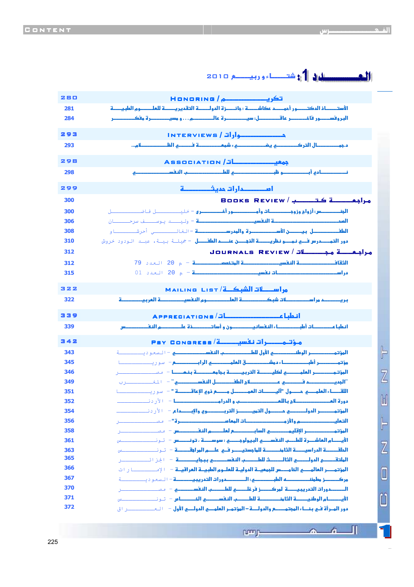حصيل الدي شتر صلى 10 و روبي جي ص 2010. מ /Honoring <sup>280</sup> الأستــــــاذ المكتــــــور أموــــــم كاشــــــة : وائـــــزة المولـــــــة التقمير يــــــة للعلـــــــوم ال<mark>طب</mark>يــــــة البر وفســـــور فاخـــــــــر عاقــــــــــــل: سيــــــــــرة عالـــــــــــــم . . . و مسيـــــــــــرة مفكـــــــــــــر %وא א
/Interviews 293 د.لא 4>-#א? מ... **293** 298 Association / Automatic Association د+'و ?ط1א **298** אدא א
%د-9 <sup>299</sup> **<sup>300</sup>** Books Review / 1-مح أحف OــــــــــA  **300** אس:'زوאجوزو
و'و ' B - \$ــــــــA d-ـــة - وليــــد يوســـف سرحـــــان ن  **306** א-%א-و **308** אطل نא5 6 وאد - - اe-ـــــــ' أ1;ـــــــ-دو אد سو? -אذ:ندאطل - f\$ـ 8ـ، Bـ ا دود 1وش **310 <sup>312</sup>**Journals Review / -مح ا دے א9A-א-א-– م 20 ا%د 79 **312** – م 20 ا%د 01 **315** د א - א 
א/- List Mailing 322 حوم النفسي  د א 
- **322** عة العربيــــــــــة אط / Appreciations 339 אط
'ط>אونو'ذ6 מאس **339** مۇتـمـــــرات نف<mark>سيــــــــة/ Psy Congress #</mark> 342  $\mathbb{F}$ א( אوطא5ولط1א–ا
% د=ــــــ **343** ( 'ط>دقא#א א@– ر=ــــــــ- **345**  $\overline{Z}$ א( א#-א --#2 – (ــــــــــ1 **346** "אدد جאطلא" – ا0eـــــــ1ب **349 351** אA<א# %ول "Y
א#ل@ذو+א"-" – ر=ــــــــ-دو 6א# ج1#وאد א – ا\*رد ــــــــ **352**  $\mathbb{H}$ المؤتمـــــــــر الدولـــــــــــــــو التالية المسي<mark>ح والتاريخ الشريط والإبـــــــدام –</mark> الأردن ــــــــــــــــ<br>وهي المسيح المسيح المسيح المسيح التي تاريخ المسيح المسيح المسيح المسيح المسيح المسيح المسيح المسيح المسيح ا ŀ א#מوא5ز
א# 6"– (ــــــــــ1 **356** א( א"א@#מאس – (ــــــــــ1 **358** א5מא# 6ط1אאوو:و،-وس – ـــــــــb **361** Z א%A-אد א-א-9 מא א:A- – ـــــــــb **363** אA/אدوא9Uط1א- – اh\ا)ـــــــ1 **<sup>365</sup>** ا**لمؤتمــــر العالمـــــــي الخامـــــــس للجمعيــــة الموليــــة ال<mark>حال العراقيـــة - الإمـــــــــــــــــــ</mark>ا ر<br>الم<b>ؤتمـــــر العالمـــــــي الخامــــــــس للجمعيــــة الموليـــة الملبـــيــة العراقيـــة - الإمــــــــ** 0 زط Mאط:אدو א
אد -–ا
% د=ــــــ **<sup>367</sup>** אدو א
אد - ز 7ط1א – (ــــــــــ1 **<sup>370</sup>** ا<mark>لأيــــــــام الوطنيــــــــــة الثارنــــــــــــــــــة للطــــــــب النفســــــام (- تــو نـــــــــــــــــس</mark> <mark>دور المـرأة فـي بنـــاء المجتمــــــم والدولــــة − المؤتمـر العلمـــي المولــــي الأول − ⊥الـمـــــــــــــــر اق</mark>

 $\sim$ 

rumn-

Л

 $\mathcal{L}$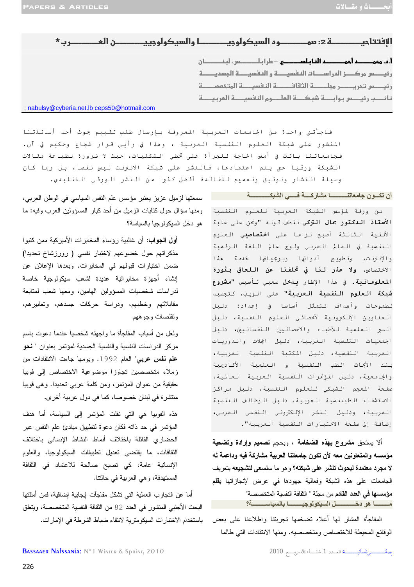| $*$ and $*$                                 |                                                                        |
|---------------------------------------------|------------------------------------------------------------------------|
|                                             |                                                                        |
|                                             | رئيــــس مركــــز الدراســــات النفسيــــة و النفسيــــة الجسديــــــة |
|                                             | رئيصس تحريصر مجلصة الثقاف ق النفسية الهتخمم ق                          |
|                                             | نائب رئيسس بوابسة شبكتة العلموم النفسيدة العربيطة                      |
| ; nabulsy@cyberia.net.lb ceps50@hotmail.com |                                                                        |

فاجأتني واحدة من الجامعات العربية المعروفة بإرسال طلب تقييم بحوث أحد أساتنتنا المنشور على شبكة العلوم النفسية العربية ، وهذا في رأيي قرار شجاع وحكيم في آن. فجامعاتنا باتت في أمس الحاجة للجرأة على تخطي الشكليات، حيث لا ضرورة لطباعة مقالات الشبكة ورقيا حتى يتم اعتمادها، فالنشر على شبكة الانترنت ليس نقصا، بل ربما كان وسيلة انـتشار وتـوثـيق وتـعميم لـلفـائـدة أفـضل كـثيرا مـن الـنشر الـورقـى الـتقـلـيدي.

#### أن تكسون جامعاتنـــــــــــا مشار كــــة فـــــى الشبكــــــــــــة

من ورقة لمؤسس الشبكة العربية للعلوم النفسية **الأستاذ الدكتور جمال التزكي** نقطف قوله "ونحن على عتبة الأُلفية الـثالـثة أصبح لـزاما على **اختصاصي**ي الـعلوم النفسية في العالم العربي ولوج عالم اللغة الرقمية والإنترنت، وتطويع أدواتها وبرجمياتها لخدمة هذا الاختصاص، ولا ع**ذر لنا في تخلفنا عن اللحاق بثورة** المعلوماتية. في هذا الإطار يدخل سعيى تأسيس "مشروع **شبكة العلوم النفسية العربية"** على الويب، كتجسيد لطموحات وأهداف تتمثل أساسا في إعداد: دليل العناوين الإلكترونية لأخصائي العلوم النفسية، دليل السير العلمية للأطباء والاخصائيين النفسانيين، دليل الجمعيات النفسية العربية، دليل الجلات والدوريات العربية النفسية، دليل المكتبة النفسية العربية، بـنك الأبحاث الطب الـنفسية و الـعلمية الأكـاديمية والجامعية، دليل المؤتمرات النفسية العربية العالمية، .<br>صفحة المعجم الشبكي للعلوم النفسية، دليل *م*راكز الاستشفاء الطبنفسية العربية، دليل الوظائف النفسية العربية، ودليل النشر الإلكتروني النفسى العربي، إضافة إلى صفحة الاختبارات النفسية العربية".

ألا يستحق مشروع بهذه الضخامة ، وبحجم تصميم وإرادة وتضحية مؤسسه والمتعاونين معه لأن تكون جامعاتنا العربية مشاركة فيه وداعمة له لا مجرد معتمدة لبحوث تنشر على شبكته؟ وهو ما سنسعى لتشجيعه بتعريف الجامعات على هذه الشبكة وفعالية جهودها في عرض لإنجازاتها **بقل**م مؤسسها في العدد القادم من مجلة " الثقافة النفسية المتخصصة" 

المفاجأة المشار لها أعلاه نضخمها نجربننا واطلاعنا على بعض الوقائع المحيطة للاختصاص ومتخصصيه. ومنها الانتقادات التي طالما

سمعتها لزميل عزيز يعتبر مؤسس علم النفس السياسي في الوطن العربي، ومنها سؤال حول كتابات الزميل من أحد كبار المسؤولين العرب وفيه: ما هو دخل السيكولوجيا بالسياسة؟

أ**ول الجواب:** أن غالبية رؤساء المخابر ات الأمير كية ممن كتبو ا مذكراتهم حول خضوعهم لاختبار نفسى ( رورزشاخ تحديدا) ضمن اختبارات قبولهم في المخابرات. وبعدها الإعلان عن إنشاء أجهزة مخابراتية عديدة لشعب سيكولوجية خاصة لدراسات شخصيات المسؤولين الهامين، ومعها شعب لمتابعة مقابلاتهم وخطبهم، ودراسة حركات جسدهم، وتعابيرهم، ونقلصات وجوههم

ولعل من أسباب المفاجأة ما واجهته شخصيا عندما دعوت باسم مركز الدراسات النفسية والنفسية الجسدية لمؤتمر بعنوان " نحو علم نفس عربي" العام 1992. ويومها جاءت الانتقادات من زملاء متخصصين تجاوزا موضوعية الاختصاص إلى فوبيا حقيقية من عنوان المؤتمر، ومن كلمة عربي تحديدًا. وهي فوبيا منتشرة في لبنان خصوصا، كما في دول عربية أخرى.

هذه الفوبيا هي التي نقلت المؤتمر إلى السياسة، أما هدف المؤتمر في حد ذاته فكان دعوة لتطبيق مبادئ علم النفس عبر الحضارى القائلة باختلاف أنماط النشاط الإنساني باختلاف الثقافات، ما يقتضبي تعديل تطبيقات السيكولوجيا، والعلوم الإنسانية عامة، كي تصبح صالحة للاعتماد في الثقافة المستهدفة، وهي العربية في حالتنا.

أما عن التجارب العملية التي تشكل مفاجآت إيجابية إضافية، فمن أمثلتها البحث الأجنبي المنشور في العدد 82 من الثقافة النفسية المتخصصة، ويتعلق باستخدام الاختبار ات السبكومنز ية لانتقاء ضباط الشر طة في الإمار ات.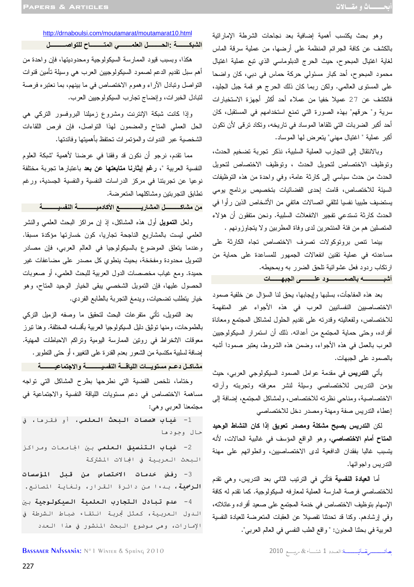وهو بحث يكتسب أهمية إضافية بعد نجاحات الشرطة الإماراتية بالكشف عن كافة الجرائم المنظمة على أرضها، من عملية سرقة الماس لغاية اغتيال المبحوح، حيث الحرج الدبلوماسي الذي تبع عملية اغتيال محمود المبحوح، أحد كبار مسئولي حركة حماس في دبي، كان واضحا على المستوى العالمي. ولكن ربما كان ذلك الحرج هو قمة جبل الجليد، فالكشف عن 27 عميلا خفيا من عملاء أحد أكثر أجهزة الاستخبارات سرية و" حرقهم" بهذه الصورة التي تمنع استخدامهم في المستقبل، كان أحد أكبر الضربات التي تلقاها الموساد في تاريخه، وتكاد ترقى لأن تكون أكبر عملية " اغتيال مهني" يتعرض لها الموساد .

وبالانتقال إلى التجارب العملية السلبية، نذكر تجربة تضخيم الحدث، وتوظيف الاختصاص لتحويل الحدث ، وتوظيف الاختصاص لتحويل الحدث من حدث سياسي إلى كارثة عامة، وفي واحدة من هذه التوظيفات السيئة للاختصاص، قامت إحدى الفضائيات بتخصيص برنامج يومي يستضيف طبيبا نفسيا لتلقي اتصالات هاتفي من الأشخاص الذين رأوا في الحدث كارثة تستدعي تفجير الانفعلات السلبية. ونحن متفقون أن هؤلاء المتصلين هم من فئة المنتحرين لدى وفاة المطربين ولا يتجاوزونهم .

بينما تنص بروتوكولات تصرف الاختصاص تجاه الكارثة على مساعدته في عملية تقنين انفعالات الجمهور للمساعدة على حماية من ارتكاب ردود فعل عشوائية تلحق الضرر به وبمحيطه . **أ1ـــــــــــــ3 2"ــــــــــد #+ـــــــــ6 ا45ـــــــت** 

بعد هذه المفاجآت، بسلبها وإيجابها، يحق لنا السؤال عن خلفية صمود الاختصاصيين النفسانيين العرب في هذه الأجواء غير المتفهمة للاختصاص، ولفعاليته وقدرته على تقديم الحلول لمشاكل المجتمع ومعاناة أفراده، وحتى حماية المجتمع من أعدائه. ذلك أن استمرار السيكولوجيين العرب بالعمل في هذه الأجواء، وضمن هذه الشروط، يعتبر صمودا أشبه بالصمود على الجبهات .

يأتي **التدريس** في مقدمة عوامل الصمود السيكولوجي العربي، حيث ميؤ ن التدريس للاختصاصي وسيلة لنشر معرفته وتجربته وآرائه الاختصاصية، ومناحي نظرته للاختصاص، ولمشاكل المجتمع، إضافة إلى إعطاء التدريس صفة ومهنة ومصدر دخل للاختصاصي

لكن **التدريس يصبح مشكلة ومصدر تعويق إذا كان النشاط الوحيد المتاح أمام الاختصاصي**، وهو الواقع المؤسف في غالبية الحالات، لأنه يتسبب غالبا بفقدان الدافعية لدى الاختصاصيين، وانطوائهم على مهنة التدريس واجوائها .

أما **العيادة النفسية** فتأتي في الترتيب الثاني بعد التدريس، وهي تقدم للاختصاصي فرصة المارسة العملية لمعارفه السيكولوجية. كما تقدم له كافة الإسهام بتوظيف الاختصاص في خدمة المجتمع على صعيد أفراده وعائلاته، وفي إرشادهم. وكنا قد تحدثنا تفصيلا عن العقبات المتعرضة للعيادة النفسية العربية في بحثنا المعنون: " واقع الطب النفسي في العالم العربي ".

بصائعة مستسر تفسانيسسسسة: العسدد 1 شتساء & مريسسع 2010

 http://drnaboulsi.com/moutamarat/moutamarat10.html **اــــــــ : ا\$ـــــــــ ا #"ــــــــ ا"!ـــــــــح #!ا%ــــــــــ** 

هكذا، وبسبب قيود الممارسة السيكولوجية ومحدوديتها، فإن واحدة من أهم سبل تقديم الدعم لصمود السيكولوجيين العرب هي وسيلة تأمين قنوات التواصل وتبادل الآراء وهموم الاختصاص في ما بينهم، بما نعتبره فرصة لتبادل الخبرات، وإنضاج تجارب السيكولوجيين العرب .

وإذا كانت شبكة الإنترنت ومشروع زميلنا البروفسور التركي هي الحل العملي المتاح والمضمون لهذا التواصل، فإن فرص اللقاءات الشخصية عبر الندوات والمؤتمرات تحتفظ بأهميتها وفائدتها .

مما تقدم، نرجو أن نكون قد وفقنا في عرضنا لأهمية "شبكة العلوم النفسية العربية "، **رغم إيثارنا متابعتها عن بعد** باعتبارها تجربة مختلفة نوعيا عن تجربتنا في مركز الدراسات النفسية والنفسية الجسدية، ورغم تطابق التجربتين ومشاكلهما المتعرضة .

من مشاكـــــــــــل المشاريــــــــــــــــع الأكادميـــــــــــــة النفسيـــــــــــة

ولعل **التمويل** أول هذه المشاكل، إذ إن مراكز البحث العلمي والنشر العلمي ليست بالمشاريع الناجحة تجاريا، كون خسارتها مؤكدة مسبقا. وعندما يتعلق الموضوع بالسيكولوجيا في العالم العربي، فإن مصادر التمويل محدودة ومفخخة، بحيث ينطوي كل مصدر على مضاعفات غير حميدة. ومع غياب مخصصات الدول العربية للبحث العلمي، أو صعوبات الحصول عليها، فإن التمويل الشخصي يبقى الخيار الوحيد المتاح، وهو خيار يتطلب تضحيات، ويدمغ التجربة بالطابع الفردي .

بعد التمويل، تأتي متفرعات البحث لتحقيق ما وصفه الزميل التركي بالطموحات، ومنها توثيق دليل السيكولوجيا العربية بأقسامه المختلفة. وهنا تبرز معوقات الانخراط في روتين الممارسة اليومية وتراكم الاحباطات المهنية. إضافة لسلبية مكتسبة من الشعور بعدم القدرة على التغيير، أو حتى التطوير. مشاكــل دعــم مستويــــات اللياقــــة النفسيــــــــــــة والاجتماعيـــــــــــة

وختاما، نلخص القضية التي نطرحها بطرح المشاكل التي تواجه مساهمة الاختصاص في دعم مستويات اللياقة النفسية والاجتماعية في مجتمعنا العربي وهي :

1- **غياب مخصصات البحث العلمي**، أو فقرما، في حال وجودها

2- **غياب التنسيق العلمي** بين الجامعات ومراكز البحث العربية في الجالات المشتركة

3- رفض خدمات الا*خ*تصاص من قبل المؤسسات **الرسمية،** بـدءا من دائرة القرار، ولـغايـة المصانـع. .<br>4- ع**دم تبادل التجارب العلمية السيكولوجية** بين اللدول العربية، كمثل تجربة انتقاء ضباط الشرطة في الإمارات، وهي موضوع البحث المنشور في هذا العدد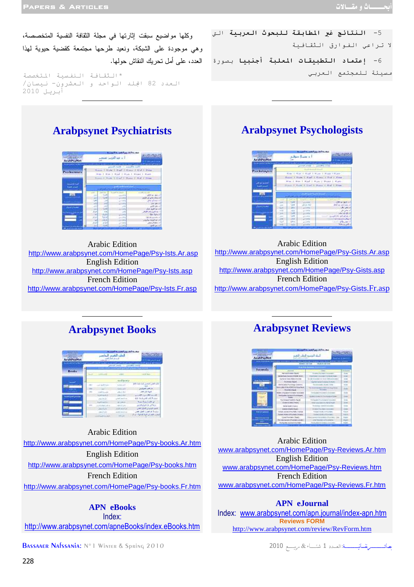لا تراعى الفوارق الثقافية

<u> Terminal de la construcción de la construcción de la construcción de la construcción de la construcción de la</u>

مسيئة للمجتمع العربي

وكلها مواضيع سبقت إثارتها في مجلة الثقافة النفسية المتخصصة، وهي موجودة على الشبكة، ونعيد طرحها مجتمعة كقضية حيوية لهذا العدد، على أمل تحريك النقاش حولها .

\* الثقافة النفسية المتخصصة العدد 82 الجلد الواحد و العشرون- نيسان/ أبريل 2010

## **Arabpsynet Psychiatrists**

|                                                             |                                                                                                                                                                                                                                               | <b><i><u>Partick Line</u></i></b>                   |  |  |
|-------------------------------------------------------------|-----------------------------------------------------------------------------------------------------------------------------------------------------------------------------------------------------------------------------------------------|-----------------------------------------------------|--|--|
| next has seal for a<br><b>Arald'syNet</b>                   | $-$ and $\frac{1}{2}$ and $\frac{1}{2}$                                                                                                                                                                                                       |                                                     |  |  |
| <b>Contracts I a Act I count most master</b><br>Proclaiming | the actual and continued to the first continued in the set<br>Obert Chemic (7) Start Round<br>and it was a little to the control of the state<br>man 1, Han 1, Hour 1, Hann 1, Hann 1, Hann<br>Room F. Roll, Litted J. Howe, J. Hot, J. Shiel |                                                     |  |  |
|                                                             | <b>All And Arena</b><br><b>Contractor</b>                                                                                                                                                                                                     |                                                     |  |  |
|                                                             | <b>Lower</b><br>$-10$                                                                                                                                                                                                                         | <b>CONTRACTOR</b><br><b>Johnson Area</b>            |  |  |
|                                                             | <b>Cash</b><br><b>IRAN</b><br>Tak<br>134                                                                                                                                                                                                      | of the subscribed and con-<br>died and states with  |  |  |
|                                                             | 24<br>w<br>$-44$<br>28<br>Could<br>,,                                                                                                                                                                                                         | An service<br>أددهاء الامن<br><b>Bar Calculat</b>   |  |  |
|                                                             | $\overline{a}$<br>12<br>198<br><b>BOW</b><br>                                                                                                                                                                                                 | أداعه أفرير ولم الأولا<br><b>Charles Collection</b> |  |  |
|                                                             | 184<br>ar at<br>6 lui<br>m<br>w                                                                                                                                                                                                               | deliations and<br>Hickory of all                    |  |  |
|                                                             | لمانة<br>$-14$<br><br>tion)<br>w                                                                                                                                                                                                              | <b>District Colors Color</b><br><b>SAN AVILL</b>    |  |  |

Arabic Edition http://www.arabpsynet.com/HomePage/Psy-Ists.Ar.asp English Edition http://www.arabpsynet.com/HomePage/Psy-Ists.asp French Edition http://www.arabpsynet.com/HomePage/Psy-Ists.Fr.asp

# **Arabpsynet Psychologists**

5- **النتائج غير المطابقة للبحوث العربية** التي

6- **إعتماد التطبيقات المعلبة أجنبيا** بصورة

| <b>Alfontinez</b><br>Arab@xyNet                          | Adjan Juan 1                                 | كالعاجم الغس                                                                                                                                        |
|----------------------------------------------------------|----------------------------------------------|-----------------------------------------------------------------------------------------------------------------------------------------------------|
| the policies is a story to a program on<br>Psychologicus |                                              | and the convention of the continuum communication of the top<br>provide stores in a provided provide<br>LA 1 Ham 1 How 1 Kare                       |
|                                                          |                                              | Hanne, J. Samt J. Hart, J. Hanne, J. Half J. Mine<br>the 1 thin 1 that 1 than 1 than 1 then<br>States J. Rand, L. Start, J. Brand, L. Bod, L. Brand |
|                                                          |                                              | <b>Class Antique Agent</b>                                                                                                                          |
|                                                          | n,<br>Vale<br>$-444$<br>UAH 4<br><b>Link</b> | <b>CONTINUES</b><br>that an international<br>Art and ind<br><b>ALL</b><br>$1.5 - 0.1$<br><b>Boltzman</b>                                            |

Arabic Edition http://www.arabpsynet.com/HomePage/Psy-Gists.Ar.asp English Edition http://www.arabpsynet.com/HomePage/Psy-Gists.asp French Edition http://www.arabpsynet.com/HomePage/Psy-Gists.Fr.asp

### **Arabpsynet Books**

| a lastnil link<br>ArabPuyNet | --                                                                 | الطنن التقييد<br><b>California</b>            | if October Common Chines should                                                                      |
|------------------------------|--------------------------------------------------------------------|-----------------------------------------------|------------------------------------------------------------------------------------------------------|
| Book a                       |                                                                    |                                               | Anna B.T. (month)                                                                                    |
|                              | <b>Call And</b><br>. .                                             | $-75 - 65$<br><b>ALL ALL</b><br><b>CALLER</b> | Michael Alexandra Michael<br>Carlosto and che                                                        |
|                              | <b>CARD TO LAND</b><br>total A.Dr.<br><b>ATANER</b>                | and Ad<br><b>CONTRACTOR</b>                   | شاورة نثير كالمرا<br>AP LOCAL LICENS<br>into the films three facts into<br><b>And Auto Letters</b>   |
| -                            | dealer for<br><b>Auch Auch</b><br><b>WASHING</b><br><b>ALCOHOL</b> | <b>Convention</b><br>alia                     | معالى فاقبلهمتن<br>and infectional costs<br>Selection paint the former of<br><b>RECEIVED MARKETS</b> |

Arabic Edition http://www.arabpsynet.com/HomePage/Psy-books.Ar.htm English Edition http://www.arabpsynet.com/HomePage/Psy-books.htm French Edition http://www.arabpsynet.com/HomePage/Psy-books.Fr.htm

**APN eBooks** Index: http://www.arabpsynet.com/apneBooks/index.eBooks.htm

Bassaaer Nafssania: N°1 Winter & Spring 2010

# **Arabpsynet Reviews**

<u> Terminal de la construcción de la construcción de la construcción de la construcción de la construcción de la</u>



Arabic Edition www.arabpsynet.com/HomePage/Psy-Reviews.Ar.htm English Edition www.arabpsynet.com/HomePage/Psy-Reviews.htm French Edition www.arabpsynet.com/HomePage/Psy-Reviews.Fr.htm

#### **APN eJournal**

Index: www.arabpsynet.com/apn.journal/index-apn.htm **Reviews FORM** http://www.arabpsynet.com/review/RevForm.htm

مصانيسيسسر نفسانيسسسسة: العسدد 1 شتساء & مرسسة 2010